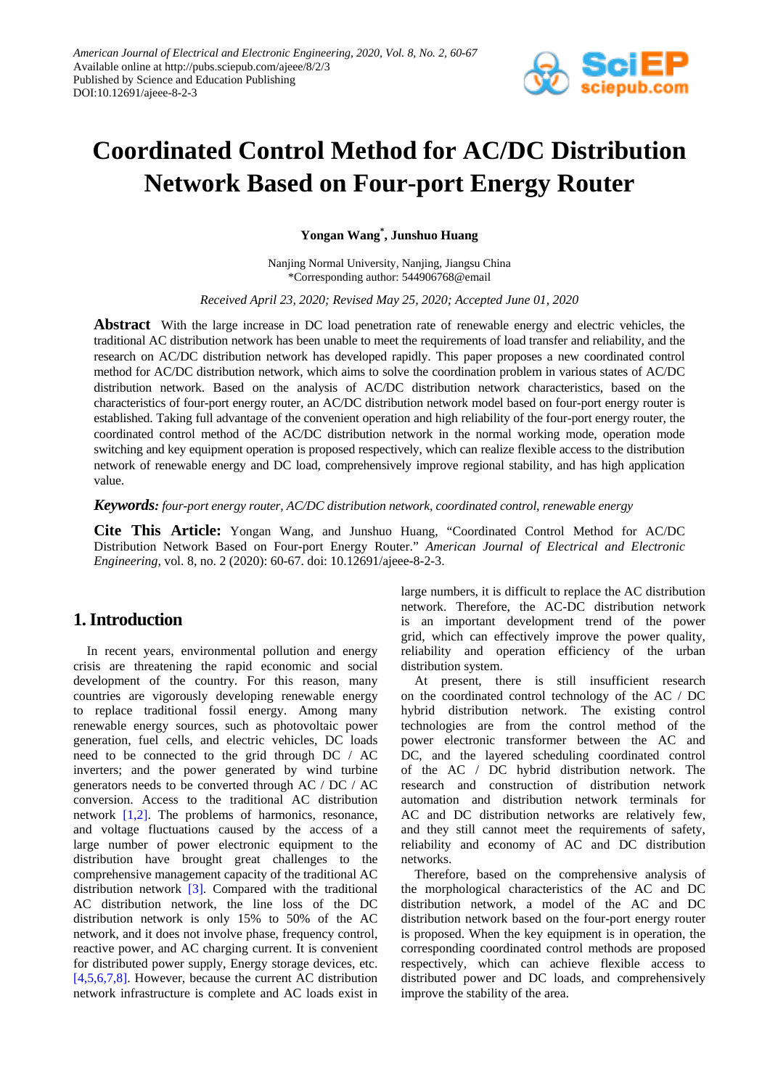

# **Coordinated Control Method for AC/DC Distribution Network Based on Four-port Energy Router**

**Yongan Wang\* , Junshuo Huang**

Nanjing Normal University, Nanjing, Jiangsu China \*Corresponding author: 544906768@email

*Received April 23, 2020; Revised May 25, 2020; Accepted June 01, 2020*

**Abstract** With the large increase in DC load penetration rate of renewable energy and electric vehicles, the traditional AC distribution network has been unable to meet the requirements of load transfer and reliability, and the research on AC/DC distribution network has developed rapidly. This paper proposes a new coordinated control method for AC/DC distribution network, which aims to solve the coordination problem in various states of AC/DC distribution network. Based on the analysis of AC/DC distribution network characteristics, based on the characteristics of four-port energy router, an AC/DC distribution network model based on four-port energy router is established. Taking full advantage of the convenient operation and high reliability of the four-port energy router, the coordinated control method of the AC/DC distribution network in the normal working mode, operation mode switching and key equipment operation is proposed respectively, which can realize flexible access to the distribution network of renewable energy and DC load, comprehensively improve regional stability, and has high application value.

*Keywords: four-port energy router, AC/DC distribution network, coordinated control, renewable energy*

**Cite This Article:** Yongan Wang, and Junshuo Huang, "Coordinated Control Method for AC/DC Distribution Network Based on Four-port Energy Router." *American Journal of Electrical and Electronic Engineering*, vol. 8, no. 2 (2020): 60-67. doi: 10.12691/ajeee-8-2-3.

## **1. Introduction**

In recent years, environmental pollution and energy crisis are threatening the rapid economic and social development of the country. For this reason, many countries are vigorously developing renewable energy to replace traditional fossil energy. Among many renewable energy sources, such as photovoltaic power generation, fuel cells, and electric vehicles, DC loads need to be connected to the grid through DC / AC inverters; and the power generated by wind turbine generators needs to be converted through AC / DC / AC conversion. Access to the traditional AC distribution network [\[1,2\].](#page-6-0) The problems of harmonics, resonance, and voltage fluctuations caused by the access of a large number of power electronic equipment to the distribution have brought great challenges to the comprehensive management capacity of the traditional AC distribution network [\[3\].](#page-6-1) Compared with the traditional AC distribution network, the line loss of the DC distribution network is only 15% to 50% of the AC network, and it does not involve phase, frequency control, reactive power, and AC charging current. It is convenient for distributed power supply, Energy storage devices, etc. [\[4,5,6,7,8\].](#page-6-2) However, because the current AC distribution network infrastructure is complete and AC loads exist in large numbers, it is difficult to replace the AC distribution network. Therefore, the AC-DC distribution network is an important development trend of the power grid, which can effectively improve the power quality, reliability and operation efficiency of the urban distribution system.

At present, there is still insufficient research on the coordinated control technology of the AC / DC hybrid distribution network. The existing control technologies are from the control method of the power electronic transformer between the AC and DC, and the layered scheduling coordinated control of the AC / DC hybrid distribution network. The research and construction of distribution network automation and distribution network terminals for AC and DC distribution networks are relatively few, and they still cannot meet the requirements of safety, reliability and economy of AC and DC distribution networks.

Therefore, based on the comprehensive analysis of the morphological characteristics of the AC and DC distribution network, a model of the AC and DC distribution network based on the four-port energy router is proposed. When the key equipment is in operation, the corresponding coordinated control methods are proposed respectively, which can achieve flexible access to distributed power and DC loads, and comprehensively improve the stability of the area.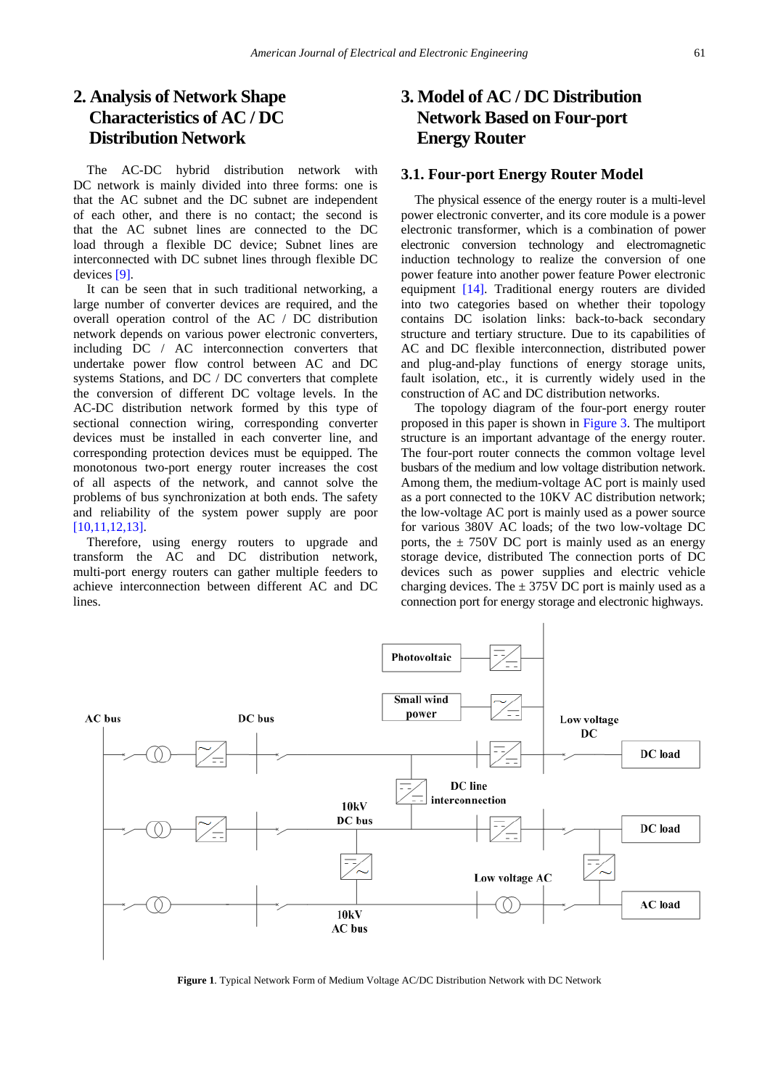# **2. Analysis of Network Shape Characteristics of AC / DC Distribution Network**

The AC-DC hybrid distribution network with DC network is mainly divided into three forms: one is that the AC subnet and the DC subnet are independent of each other, and there is no contact; the second is that the AC subnet lines are connected to the DC load through a flexible DC device; Subnet lines are interconnected with DC subnet lines through flexible DC devices [\[9\].](#page-6-3)

It can be seen that in such traditional networking, a large number of converter devices are required, and the overall operation control of the AC / DC distribution network depends on various power electronic converters, including DC / AC interconnection converters that undertake power flow control between AC and DC systems Stations, and DC / DC converters that complete the conversion of different DC voltage levels. In the AC-DC distribution network formed by this type of sectional connection wiring, corresponding converter devices must be installed in each converter line, and corresponding protection devices must be equipped. The monotonous two-port energy router increases the cost of all aspects of the network, and cannot solve the problems of bus synchronization at both ends. The safety and reliability of the system power supply are poor [\[10,11,12,13\].](#page-6-4)

Therefore, using energy routers to upgrade and transform the AC and DC distribution network, multi-port energy routers can gather multiple feeders to achieve interconnection between different AC and DC lines.

# **3. Model of AC / DC Distribution Network Based on Four-port Energy Router**

#### **3.1. Four-port Energy Router Model**

The physical essence of the energy router is a multi-level power electronic converter, and its core module is a power electronic transformer, which is a combination of power electronic conversion technology and electromagnetic induction technology to realize the conversion of one power feature into another power feature Power electronic equipment [\[14\].](#page-6-5) Traditional energy routers are divided into two categories based on whether their topology contains DC isolation links: back-to-back secondary structure and tertiary structure. Due to its capabilities of AC and DC flexible interconnection, distributed power and plug-and-play functions of energy storage units, fault isolation, etc., it is currently widely used in the construction of AC and DC distribution networks.

The topology diagram of the four-port energy router proposed in this paper is shown in Figure 3. The multiport structure is an important advantage of the energy router. The four-port router connects the common voltage level busbars of the medium and low voltage distribution network. Among them, the medium-voltage AC port is mainly used as a port connected to the 10KV AC distribution network; the low-voltage AC port is mainly used as a power source for various 380V AC loads; of the two low-voltage DC ports, the  $\pm$  750V DC port is mainly used as an energy storage device, distributed The connection ports of DC devices such as power supplies and electric vehicle charging devices. The  $\pm$  375V DC port is mainly used as a connection port for energy storage and electronic highways.



**Figure 1**. Typical Network Form of Medium Voltage AC/DC Distribution Network with DC Network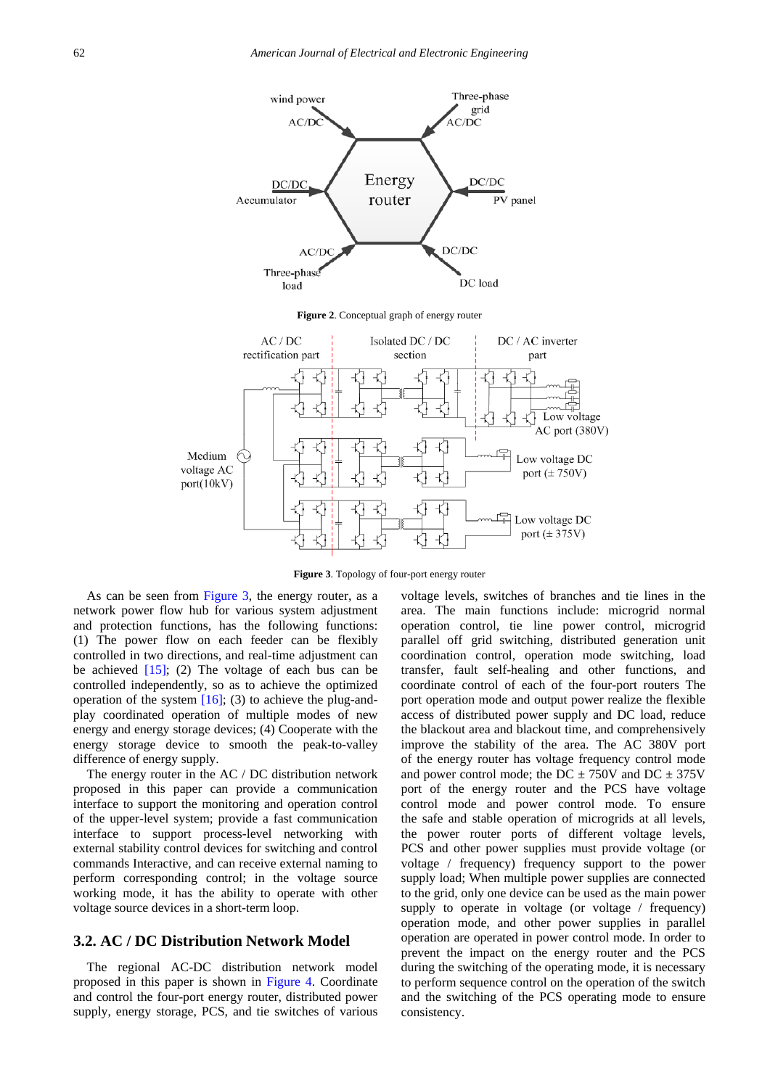

**Figure 3**. Topology of four-port energy router

As can be seen from Figure 3, the energy router, as a network power flow hub for various system adjustment and protection functions, has the following functions: (1) The power flow on each feeder can be flexibly controlled in two directions, and real-time adjustment can be achieved  $[15]$ ; (2) The voltage of each bus can be controlled independently, so as to achieve the optimized operation of the system  $[16]$ ; (3) to achieve the plug-andplay coordinated operation of multiple modes of new energy and energy storage devices; (4) Cooperate with the energy storage device to smooth the peak-to-valley difference of energy supply.

The energy router in the AC / DC distribution network proposed in this paper can provide a communication interface to support the monitoring and operation control of the upper-level system; provide a fast communication interface to support process-level networking with external stability control devices for switching and control commands Interactive, and can receive external naming to perform corresponding control; in the voltage source working mode, it has the ability to operate with other voltage source devices in a short-term loop.

#### **3.2. AC / DC Distribution Network Model**

The regional AC-DC distribution network model proposed in this paper is shown in Figure 4. Coordinate and control the four-port energy router, distributed power supply, energy storage, PCS, and tie switches of various voltage levels, switches of branches and tie lines in the area. The main functions include: microgrid normal operation control, tie line power control, microgrid parallel off grid switching, distributed generation unit coordination control, operation mode switching, load transfer, fault self-healing and other functions, and coordinate control of each of the four-port routers The port operation mode and output power realize the flexible access of distributed power supply and DC load, reduce the blackout area and blackout time, and comprehensively improve the stability of the area. The AC 380V port of the energy router has voltage frequency control mode and power control mode; the DC  $\pm$  750V and DC  $\pm$  375V port of the energy router and the PCS have voltage control mode and power control mode. To ensure the safe and stable operation of microgrids at all levels, the power router ports of different voltage levels, PCS and other power supplies must provide voltage (or voltage / frequency) frequency support to the power supply load; When multiple power supplies are connected to the grid, only one device can be used as the main power supply to operate in voltage (or voltage / frequency) operation mode, and other power supplies in parallel operation are operated in power control mode. In order to prevent the impact on the energy router and the PCS during the switching of the operating mode, it is necessary to perform sequence control on the operation of the switch and the switching of the PCS operating mode to ensure consistency.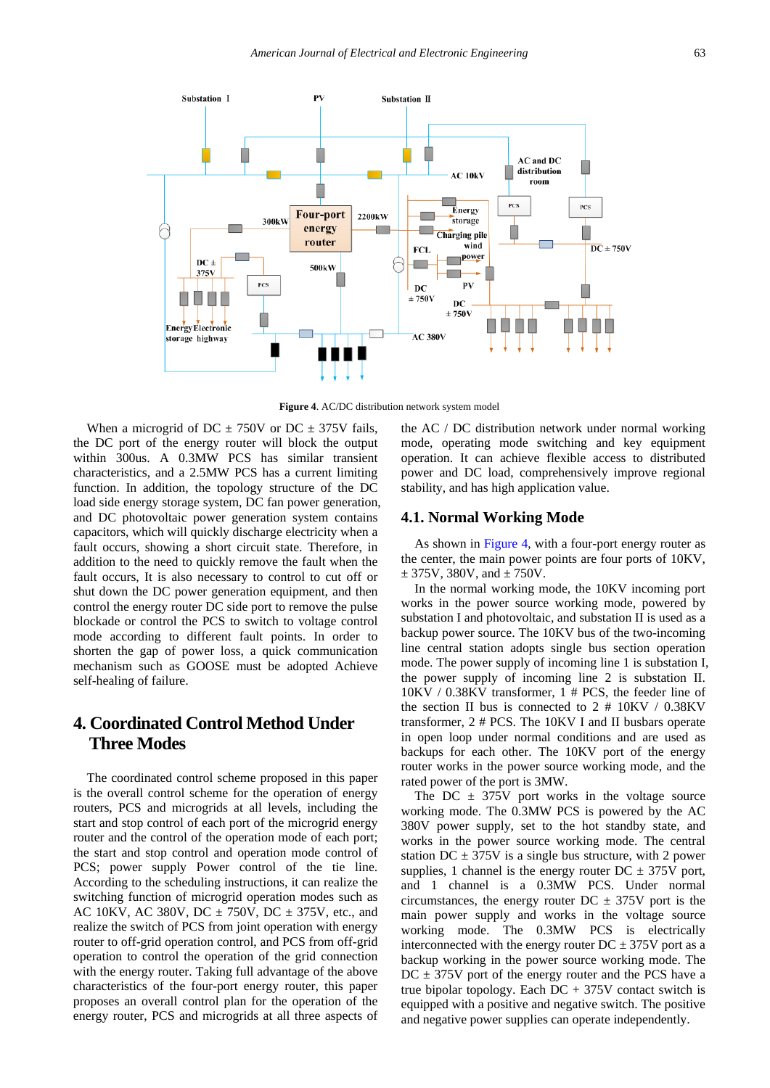

**Figure 4**. AC/DC distribution network system model

When a microgrid of DC  $\pm$  750V or DC  $\pm$  375V fails, the DC port of the energy router will block the output within 300us. A 0.3MW PCS has similar transient characteristics, and a 2.5MW PCS has a current limiting function. In addition, the topology structure of the DC load side energy storage system, DC fan power generation, and DC photovoltaic power generation system contains capacitors, which will quickly discharge electricity when a fault occurs, showing a short circuit state. Therefore, in addition to the need to quickly remove the fault when the fault occurs, It is also necessary to control to cut off or shut down the DC power generation equipment, and then control the energy router DC side port to remove the pulse blockade or control the PCS to switch to voltage control mode according to different fault points. In order to shorten the gap of power loss, a quick communication mechanism such as GOOSE must be adopted Achieve self-healing of failure.

# **4. Coordinated Control Method Under Three Modes**

The coordinated control scheme proposed in this paper is the overall control scheme for the operation of energy routers, PCS and microgrids at all levels, including the start and stop control of each port of the microgrid energy router and the control of the operation mode of each port; the start and stop control and operation mode control of PCS; power supply Power control of the tie line. According to the scheduling instructions, it can realize the switching function of microgrid operation modes such as AC 10KV, AC 380V, DC  $\pm$  750V, DC  $\pm$  375V, etc., and realize the switch of PCS from joint operation with energy router to off-grid operation control, and PCS from off-grid operation to control the operation of the grid connection with the energy router. Taking full advantage of the above characteristics of the four-port energy router, this paper proposes an overall control plan for the operation of the energy router, PCS and microgrids at all three aspects of

the AC / DC distribution network under normal working mode, operating mode switching and key equipment operation. It can achieve flexible access to distributed power and DC load, comprehensively improve regional stability, and has high application value.

#### **4.1. Normal Working Mode**

As shown in Figure 4, with a four-port energy router as the center, the main power points are four ports of 10KV,  $± 375V, 380V, and ± 750V.$ 

In the normal working mode, the 10KV incoming port works in the power source working mode, powered by substation I and photovoltaic, and substation II is used as a backup power source. The 10KV bus of the two-incoming line central station adopts single bus section operation mode. The power supply of incoming line 1 is substation I, the power supply of incoming line 2 is substation II. 10KV / 0.38KV transformer, 1 # PCS, the feeder line of the section II bus is connected to  $2 \# 10KV / 0.38KV$ transformer, 2 # PCS. The 10KV I and II busbars operate in open loop under normal conditions and are used as backups for each other. The 10KV port of the energy router works in the power source working mode, and the rated power of the port is 3MW.

The DC  $\pm$  375V port works in the voltage source working mode. The 0.3MW PCS is powered by the AC 380V power supply, set to the hot standby state, and works in the power source working mode. The central station DC  $\pm$  375V is a single bus structure, with 2 power supplies, 1 channel is the energy router  $DC \pm 375V$  port, and 1 channel is a 0.3MW PCS. Under normal circumstances, the energy router  $DC \pm 375V$  port is the main power supply and works in the voltage source working mode. The 0.3MW PCS is electrically interconnected with the energy router  $DC \pm 375V$  port as a backup working in the power source working mode. The  $DC \pm 375V$  port of the energy router and the PCS have a true bipolar topology. Each  $DC + 375V$  contact switch is equipped with a positive and negative switch. The positive and negative power supplies can operate independently.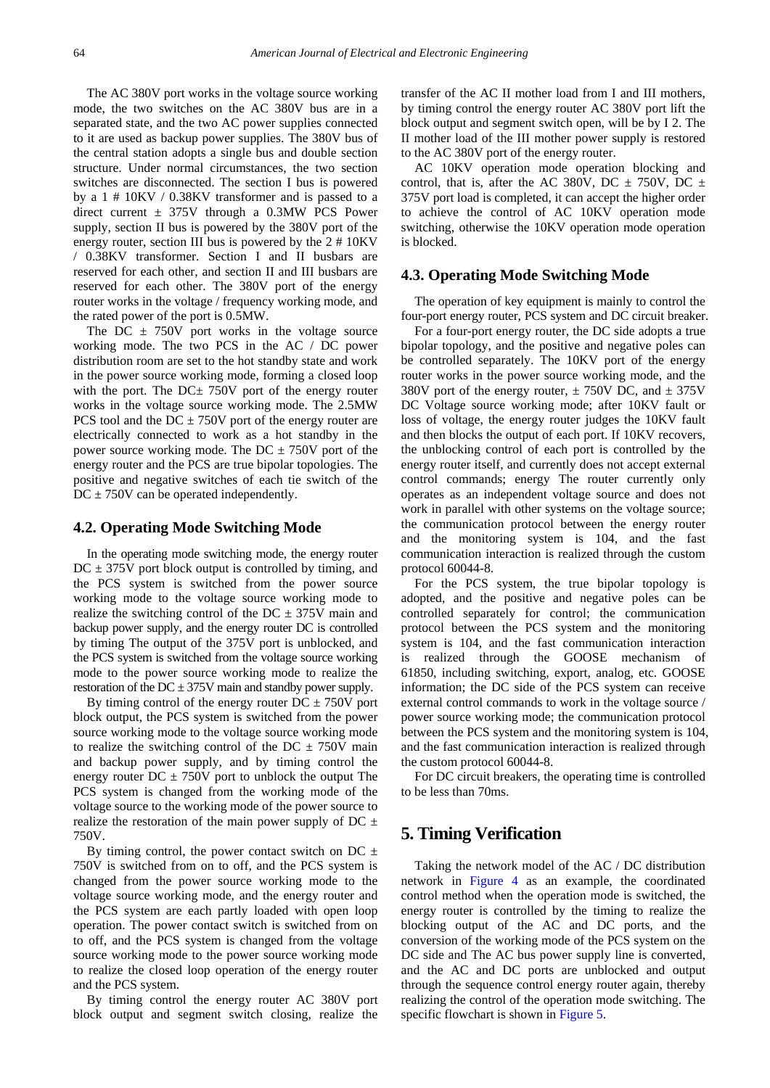The AC 380V port works in the voltage source working mode, the two switches on the AC 380V bus are in a separated state, and the two AC power supplies connected to it are used as backup power supplies. The 380V bus of the central station adopts a single bus and double section structure. Under normal circumstances, the two section switches are disconnected. The section I bus is powered by a 1 # 10KV / 0.38KV transformer and is passed to a direct current  $\pm$  375V through a 0.3MW PCS Power supply, section II bus is powered by the 380V port of the energy router, section III bus is powered by the 2 # 10KV / 0.38KV transformer. Section I and II busbars are reserved for each other, and section II and III busbars are reserved for each other. The 380V port of the energy router works in the voltage / frequency working mode, and the rated power of the port is 0.5MW.

The DC  $\pm$  750V port works in the voltage source working mode. The two PCS in the AC / DC power distribution room are set to the hot standby state and work in the power source working mode, forming a closed loop with the port. The  $DC \pm 750V$  port of the energy router works in the voltage source working mode. The 2.5MW PCS tool and the  $DC \pm 750V$  port of the energy router are electrically connected to work as a hot standby in the power source working mode. The  $DC \pm 750V$  port of the energy router and the PCS are true bipolar topologies. The positive and negative switches of each tie switch of the  $DC \pm 750V$  can be operated independently.

#### **4.2. Operating Mode Switching Mode**

In the operating mode switching mode, the energy router  $DC \pm 375V$  port block output is controlled by timing, and the PCS system is switched from the power source working mode to the voltage source working mode to realize the switching control of the  $DC \pm 375V$  main and backup power supply, and the energy router DC is controlled by timing The output of the 375V port is unblocked, and the PCS system is switched from the voltage source working mode to the power source working mode to realize the restoration of the  $DC \pm 375V$  main and standby power supply.

By timing control of the energy router  $DC \pm 750V$  port block output, the PCS system is switched from the power source working mode to the voltage source working mode to realize the switching control of the DC  $\pm$  750V main and backup power supply, and by timing control the energy router  $DC \pm 750V$  port to unblock the output The PCS system is changed from the working mode of the voltage source to the working mode of the power source to realize the restoration of the main power supply of DC  $\pm$ 750V.

By timing control, the power contact switch on DC  $\pm$ 750V is switched from on to off, and the PCS system is changed from the power source working mode to the voltage source working mode, and the energy router and the PCS system are each partly loaded with open loop operation. The power contact switch is switched from on to off, and the PCS system is changed from the voltage source working mode to the power source working mode to realize the closed loop operation of the energy router and the PCS system.

By timing control the energy router AC 380V port block output and segment switch closing, realize the

transfer of the AC II mother load from I and III mothers, by timing control the energy router AC 380V port lift the block output and segment switch open, will be by I 2. The II mother load of the III mother power supply is restored to the AC 380V port of the energy router.

AC 10KV operation mode operation blocking and control, that is, after the AC 380V, DC  $\pm$  750V, DC  $\pm$ 375V port load is completed, it can accept the higher order to achieve the control of AC 10KV operation mode switching, otherwise the 10KV operation mode operation is blocked.

#### **4.3. Operating Mode Switching Mode**

The operation of key equipment is mainly to control the four-port energy router, PCS system and DC circuit breaker.

For a four-port energy router, the DC side adopts a true bipolar topology, and the positive and negative poles can be controlled separately. The 10KV port of the energy router works in the power source working mode, and the 380V port of the energy router,  $\pm$  750V DC, and  $\pm$  375V DC Voltage source working mode; after 10KV fault or loss of voltage, the energy router judges the 10KV fault and then blocks the output of each port. If 10KV recovers, the unblocking control of each port is controlled by the energy router itself, and currently does not accept external control commands; energy The router currently only operates as an independent voltage source and does not work in parallel with other systems on the voltage source; the communication protocol between the energy router and the monitoring system is 104, and the fast communication interaction is realized through the custom protocol 60044-8.

For the PCS system, the true bipolar topology is adopted, and the positive and negative poles can be controlled separately for control; the communication protocol between the PCS system and the monitoring system is 104, and the fast communication interaction is realized through the GOOSE mechanism of 61850, including switching, export, analog, etc. GOOSE information; the DC side of the PCS system can receive external control commands to work in the voltage source / power source working mode; the communication protocol between the PCS system and the monitoring system is 104, and the fast communication interaction is realized through the custom protocol 60044-8.

For DC circuit breakers, the operating time is controlled to be less than 70ms.

#### **5. Timing Verification**

Taking the network model of the AC / DC distribution network in Figure 4 as an example, the coordinated control method when the operation mode is switched, the energy router is controlled by the timing to realize the blocking output of the AC and DC ports, and the conversion of the working mode of the PCS system on the DC side and The AC bus power supply line is converted, and the AC and DC ports are unblocked and output through the sequence control energy router again, thereby realizing the control of the operation mode switching. The specific flowchart is shown i[n Figure 5.](#page-5-0)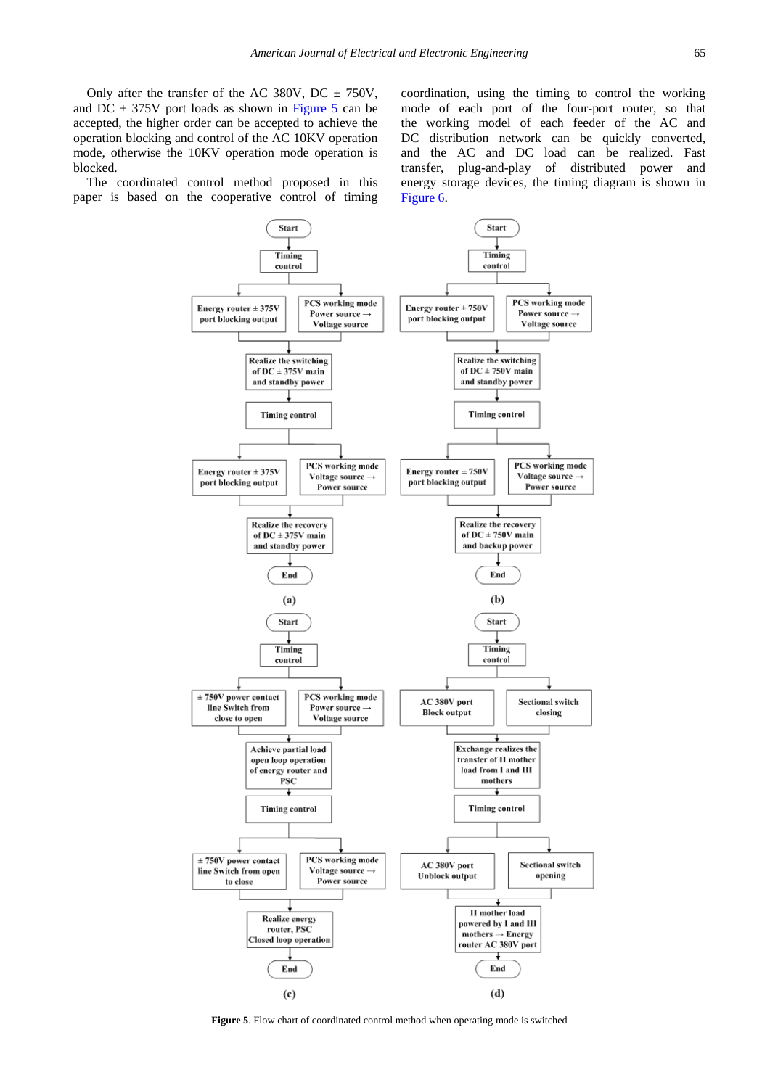Only after the transfer of the AC 380V, DC  $\pm$  750V, and DC  $\pm$  375V port loads as shown in [Figure 5](#page-5-0) can be accepted, the higher order can be accepted to achieve the operation blocking and control of the AC 10KV operation mode, otherwise the 10KV operation mode operation is blocked.

<span id="page-5-0"></span>The coordinated control method proposed in this paper is based on the cooperative control of timing

coordination, using the timing to control the working mode of each port of the four-port router, so that the working model of each feeder of the AC and DC distribution network can be quickly converted, and the AC and DC load can be realized. Fast transfer, plug-and-play of distributed power and energy storage devices, the timing diagram is shown in Figure 6.



**Figure 5**. Flow chart of coordinated control method when operating mode is switched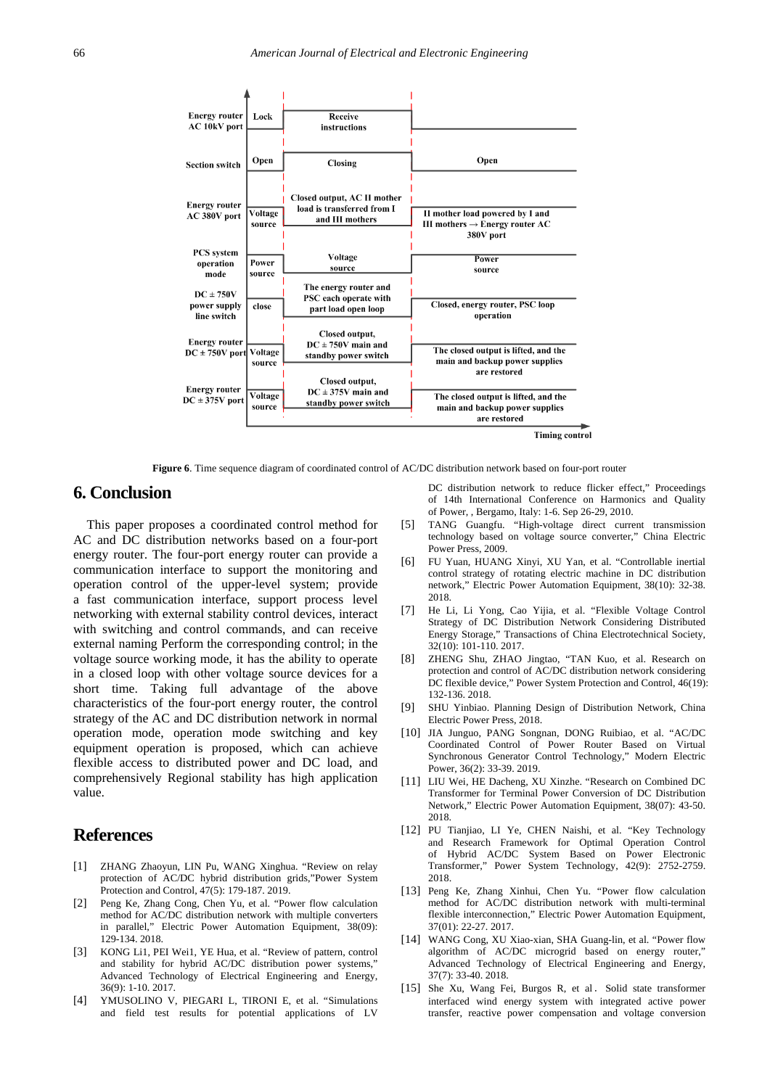

**Figure 6**. Time sequence diagram of coordinated control of AC/DC distribution network based on four-port router

### **6. Conclusion**

This paper proposes a coordinated control method for AC and DC distribution networks based on a four-port energy router. The four-port energy router can provide a communication interface to support the monitoring and operation control of the upper-level system; provide a fast communication interface, support process level networking with external stability control devices, interact with switching and control commands, and can receive external naming Perform the corresponding control; in the voltage source working mode, it has the ability to operate in a closed loop with other voltage source devices for a short time. Taking full advantage of the above characteristics of the four-port energy router, the control strategy of the AC and DC distribution network in normal operation mode, operation mode switching and key equipment operation is proposed, which can achieve flexible access to distributed power and DC load, and comprehensively Regional stability has high application value.

### **References**

- <span id="page-6-0"></span>[1] ZHANG Zhaoyun, LIN Pu, WANG Xinghua. "Review on relay protection of AC/DC hybrid distribution grids,"Power System Protection and Control, 47(5): 179-187. 2019.
- [2] Peng Ke, Zhang Cong, Chen Yu, et al. "Power flow calculation method for AC/DC distribution network with multiple converters in parallel," Electric Power Automation Equipment, 38(09): 129-134. 2018.
- <span id="page-6-1"></span>[3] KONG Li1, PEI Wei1, YE Hua, et al. "Review of pattern, control and stability for hybrid AC/DC distribution power systems,' Advanced Technology of Electrical Engineering and Energy, 36(9): 1-10. 2017.
- <span id="page-6-2"></span>[4] YMUSOLINO V, PIEGARI L, TIRONI E, et al. "Simulations and field test results for potential applications of LV

DC distribution network to reduce flicker effect," Proceedings of 14th International Conference on Harmonics and Quality of Power, , Bergamo, Italy: 1-6. Sep 26-29, 2010.

- [5] TANG Guangfu. "High-voltage direct current transmission technology based on voltage source converter," China Electric Power Press, 2009.
- [6] FU Yuan, HUANG Xinyi, XU Yan, et al. "Controllable inertial control strategy of rotating electric machine in DC distribution network," Electric Power Automation Equipment, 38(10): 32-38. 2018.
- [7] He Li, Li Yong, Cao Yijia, et al. "Flexible Voltage Control Strategy of DC Distribution Network Considering Distributed Energy Storage," Transactions of China Electrotechnical Society, 32(10): 101-110. 2017.
- [8] ZHENG Shu, ZHAO Jingtao, "TAN Kuo, et al. Research on protection and control of AC/DC distribution network considering DC flexible device," Power System Protection and Control, 46(19): 132-136. 2018.
- <span id="page-6-3"></span>[9] SHU Yinbiao. Planning Design of Distribution Network, China Electric Power Press, 2018.
- <span id="page-6-4"></span>[10] JIA Junguo, PANG Songnan, DONG Ruibiao, et al. "AC/DC Coordinated Control of Power Router Based on Virtual Synchronous Generator Control Technology," Modern Electric Power, 36(2): 33-39. 2019.
- [11] LIU Wei, HE Dacheng, XU Xinzhe. "Research on Combined DC Transformer for Terminal Power Conversion of DC Distribution Network," Electric Power Automation Equipment, 38(07): 43-50. 2018.
- [12] PU Tianjiao, LI Ye, CHEN Naishi, et al. "Key Technology and Research Framework for Optimal Operation Control of Hybrid AC/DC System Based on Power Electronic Transformer," Power System Technology, 42(9): 2752-2759. 2018.
- [13] Peng Ke, Zhang Xinhui, Chen Yu. "Power flow calculation method for AC/DC distribution network with multi-terminal flexible interconnection," Electric Power Automation Equipment, 37(01): 22-27. 2017.
- <span id="page-6-5"></span>[14] WANG Cong, XU Xiao-xian, SHA Guang-lin, et al. "Power flow algorithm of AC/DC microgrid based on energy router," Advanced Technology of Electrical Engineering and Energy, 37(7): 33-40. 2018.
- <span id="page-6-6"></span>[15] She Xu, Wang Fei, Burgos R, et al. Solid state transformer interfaced wind energy system with integrated active power transfer, reactive power compensation and voltage conversion